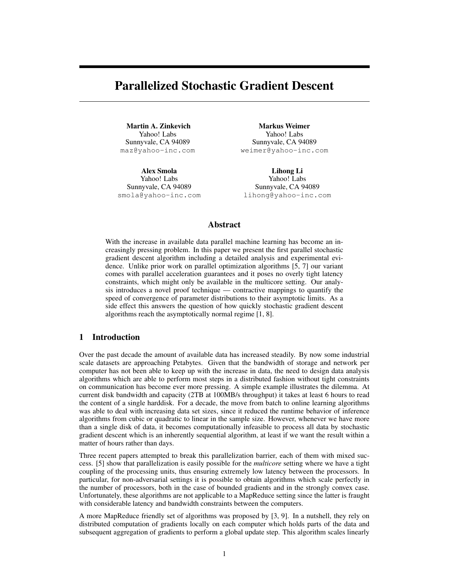# Parallelized Stochastic Gradient Descent

Martin A. Zinkevich Yahoo! Labs Sunnyvale, CA 94089 maz@yahoo-inc.com

Alex Smola Yahoo! Labs Sunnyvale, CA 94089 smola@yahoo-inc.com

Markus Weimer Yahoo! Labs Sunnyvale, CA 94089 weimer@yahoo-inc.com

Lihong Li Yahoo! Labs Sunnyvale, CA 94089 lihong@yahoo-inc.com

# Abstract

With the increase in available data parallel machine learning has become an increasingly pressing problem. In this paper we present the first parallel stochastic gradient descent algorithm including a detailed analysis and experimental evidence. Unlike prior work on parallel optimization algorithms [5, 7] our variant comes with parallel acceleration guarantees and it poses no overly tight latency constraints, which might only be available in the multicore setting. Our analysis introduces a novel proof technique — contractive mappings to quantify the speed of convergence of parameter distributions to their asymptotic limits. As a side effect this answers the question of how quickly stochastic gradient descent algorithms reach the asymptotically normal regime [1, 8].

# 1 Introduction

Over the past decade the amount of available data has increased steadily. By now some industrial scale datasets are approaching Petabytes. Given that the bandwidth of storage and network per computer has not been able to keep up with the increase in data, the need to design data analysis algorithms which are able to perform most steps in a distributed fashion without tight constraints on communication has become ever more pressing. A simple example illustrates the dilemma. At current disk bandwidth and capacity (2TB at 100MB/s throughput) it takes at least 6 hours to read the content of a single harddisk. For a decade, the move from batch to online learning algorithms was able to deal with increasing data set sizes, since it reduced the runtime behavior of inference algorithms from cubic or quadratic to linear in the sample size. However, whenever we have more than a single disk of data, it becomes computationally infeasible to process all data by stochastic gradient descent which is an inherently sequential algorithm, at least if we want the result within a matter of hours rather than days.

Three recent papers attempted to break this parallelization barrier, each of them with mixed success. [5] show that parallelization is easily possible for the *multicore* setting where we have a tight coupling of the processing units, thus ensuring extremely low latency between the processors. In particular, for non-adversarial settings it is possible to obtain algorithms which scale perfectly in the number of processors, both in the case of bounded gradients and in the strongly convex case. Unfortunately, these algorithms are not applicable to a MapReduce setting since the latter is fraught with considerable latency and bandwidth constraints between the computers.

A more MapReduce friendly set of algorithms was proposed by [3, 9]. In a nutshell, they rely on distributed computation of gradients locally on each computer which holds parts of the data and subsequent aggregation of gradients to perform a global update step. This algorithm scales linearly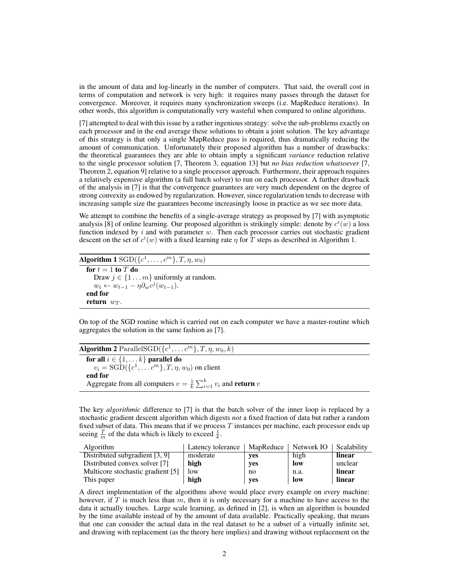in the amount of data and log-linearly in the number of computers. That said, the overall cost in terms of computation and network is very high: it requires many passes through the dataset for convergence. Moreover, it requires many synchronization sweeps (i.e. MapReduce iterations). In other words, this algorithm is computationally very wasteful when compared to online algorithms.

[7] attempted to deal with this issue by a rather ingenious strategy: solve the sub-problems exactly on each processor and in the end average these solutions to obtain a joint solution. The key advantage of this strategy is that only a single MapReduce pass is required, thus dramatically reducing the amount of communication. Unfortunately their proposed algorithm has a number of drawbacks: the theoretical guarantees they are able to obtain imply a significant *variance* reduction relative to the single processor solution [7, Theorem 3, equation 13] but *no bias reduction whatsoever* [7, Theorem 2, equation 9] relative to a single processor approach. Furthermore, their approach requires a relatively expensive algorithm (a full batch solver) to run on each processor. A further drawback of the analysis in [7] is that the convergence guarantees are very much dependent on the degree of strong convexity as endowed by regularization. However, since regularization tends to decrease with increasing sample size the guarantees become increasingly loose in practice as we see more data.

We attempt to combine the benefits of a single-average strategy as proposed by [7] with asymptotic analysis [8] of online learning. Our proposed algorithm is strikingly simple: denote by  $c^i(w)$  a loss function indexed by  $i$  and with parameter  $w$ . Then each processor carries out stochastic gradient descent on the set of  $c^i(w)$  with a fixed learning rate  $\eta$  for  $\overline{T}$  steps as described in Algorithm 1.

Algorithm 1  $\text{SGD}(\{c^1,\ldots,c^m\},T,\eta,w_0)$ for  $t = 1$  to  $T$  do Draw  $j \in \{1 \dots m\}$  uniformly at random.  $w_t \leftarrow w_{t-1} - \eta \partial_w c^j (w_{t-1}).$ end for return  $w_T$ .

On top of the SGD routine which is carried out on each computer we have a master-routine which aggregates the solution in the same fashion as [7].

| <b>Algorithm 2</b> ParallelSGD( $\{c^1, \ldots c^m\}$ , $T, \eta, w_0, k$ )           |  |
|---------------------------------------------------------------------------------------|--|
| for all $i \in \{1, \ldots k\}$ parallel do                                           |  |
| $v_i = \text{SGD}(\{c^1, \ldots c^m\}, T, \eta, w_0)$ on client                       |  |
| end for                                                                               |  |
| Aggregate from all computers $v = \frac{1}{k} \sum_{i=1}^{k} v_i$ and <b>return</b> v |  |
|                                                                                       |  |

The key *algorithmic* difference to [7] is that the batch solver of the inner loop is replaced by a stochastic gradient descent algorithm which digests *not* a fixed fraction of data but rather a random fixed subset of data. This means that if we process  $T$  instances per machine, each processor ends up seeing  $\frac{T}{m}$  of the data which is likely to exceed  $\frac{1}{k}$ .

| <b>Algorithm</b>                  | Latency tolerance | MapReduce | Network IO | Scalability |
|-----------------------------------|-------------------|-----------|------------|-------------|
| Distributed subgradient [3, 9]    | moderate          | yes       | high       | linear      |
| Distributed convex solver [7]     | high              | yes       | low        | unclear     |
| Multicore stochastic gradient [5] | low               | no        | n.a.       | linear      |
| This paper                        | high              | yes       | low        | linear      |

A direct implementation of the algorithms above would place every example on every machine: however, if  $T$  is much less than  $m$ , then it is only necessary for a machine to have access to the data it actually touches. Large scale learning, as defined in [2], is when an algorithm is bounded by the time available instead of by the amount of data available. Practically speaking, that means that one can consider the actual data in the real dataset to be a subset of a virtually infinite set, and drawing with replacement (as the theory here implies) and drawing without replacement on the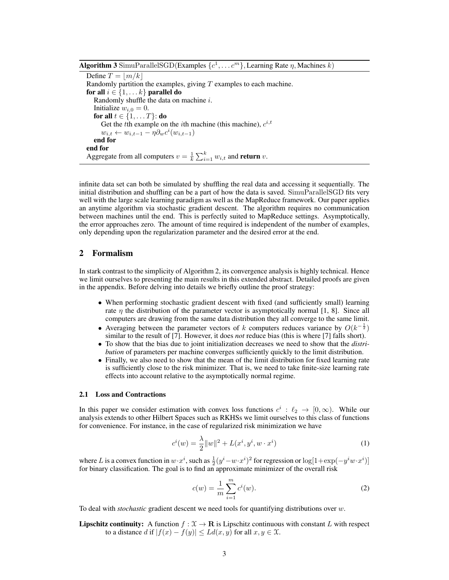**Algorithm 3** SimuParallelSGD(Examples  $\{c^1, \ldots c^m\}$ , Learning Rate  $\eta$ , Machines k)

Define  $T = |m/k|$ Randomly partition the examples, giving  $T$  examples to each machine. for all  $i \in \{1, \ldots k\}$  parallel do Randomly shuffle the data on machine  $i$ . Initialize  $w_{i,0} = 0$ . for all  $t \in \{1, \ldots T\}$ : do Get the tth example on the *i*th machine (this machine),  $c^{i,t}$  $w_{i,t} \leftarrow w_{i,t-1} - \eta \partial_w c^i(w_{i,t-1})$ end for end for Aggregate from all computers  $v = \frac{1}{k} \sum_{i=1}^{k} w_{i,t}$  and **return**  $v$ .

infinite data set can both be simulated by shuffling the real data and accessing it sequentially. The initial distribution and shuffling can be a part of how the data is saved. SimuParallelSGD fits very well with the large scale learning paradigm as well as the MapReduce framework. Our paper applies an anytime algorithm via stochastic gradient descent. The algorithm requires no communication between machines until the end. This is perfectly suited to MapReduce settings. Asymptotically, the error approaches zero. The amount of time required is independent of the number of examples, only depending upon the regularization parameter and the desired error at the end.

# 2 Formalism

In stark contrast to the simplicity of Algorithm 2, its convergence analysis is highly technical. Hence we limit ourselves to presenting the main results in this extended abstract. Detailed proofs are given in the appendix. Before delving into details we briefly outline the proof strategy:

- When performing stochastic gradient descent with fixed (and sufficiently small) learning rate  $\eta$  the distribution of the parameter vector is asymptotically normal [1, 8]. Since all computers are drawing from the same data distribution they all converge to the same limit.
- Averaging between the parameter vectors of k computers reduces variance by  $O(k^{-\frac{1}{2}})$ similar to the result of [7]. However, it does *not* reduce bias (this is where [7] falls short).
- To show that the bias due to joint initialization decreases we need to show that the *distribution* of parameters per machine converges sufficiently quickly to the limit distribution.
- Finally, we also need to show that the mean of the limit distribution for fixed learning rate is sufficiently close to the risk minimizer. That is, we need to take finite-size learning rate effects into account relative to the asymptotically normal regime.

## 2.1 Loss and Contractions

In this paper we consider estimation with convex loss functions  $c^i : \ell_2 \to [0, \infty)$ . While our analysis extends to other Hilbert Spaces such as RKHSs we limit ourselves to this class of functions for convenience. For instance, in the case of regularized risk minimization we have

$$
c^{i}(w) = \frac{\lambda}{2} ||w||^{2} + L(x^{i}, y^{i}, w \cdot x^{i})
$$
 (1)

where L is a convex function in  $w \cdot x^i$ , such as  $\frac{1}{2}(y^i - w \cdot x^i)^2$  for regression or  $\log[1 + \exp(-y^i w \cdot x^i)]$ for binary classification. The goal is to find an approximate minimizer of the overall risk

$$
c(w) = \frac{1}{m} \sum_{i=1}^{m} c^{i}(w).
$$
 (2)

To deal with *stochastic* gradient descent we need tools for quantifying distributions over w.

**Lipschitz continuity:** A function  $f : \mathcal{X} \to \mathbf{R}$  is Lipschitz continuous with constant L with respect to a distance d if  $|f(x) - f(y)| \le L d(x, y)$  for all  $x, y \in \mathcal{X}$ .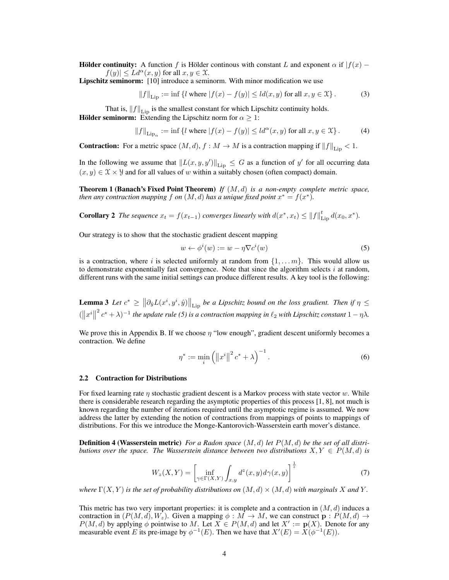**Hölder continuity:** A function f is Hölder continous with constant L and exponent  $\alpha$  if  $|f(x) |f(y)| \leq L d^{\alpha}(x, y)$  for all  $x, y \in \mathfrak{X}$ .

Lipschitz seminorm: [10] introduce a seminorm. With minor modification we use

$$
||f||_{\text{Lip}} := \inf \{ l \text{ where } |f(x) - f(y)| \le l d(x, y) \text{ for all } x, y \in \mathcal{X} \}. \tag{3}
$$

That is,  $||f||_{\text{Lip}}$  is the smallest constant for which Lipschitz continuity holds.

**Hölder seminorm:** Extending the Lipschitz norm for  $\alpha \geq 1$ :

$$
||f||_{\text{Lip}_{\alpha}} := \inf \left\{ l \text{ where } |f(x) - f(y)| \le l d^{\alpha}(x, y) \text{ for all } x, y \in \mathcal{X} \right\}. \tag{4}
$$

**Contraction:** For a metric space  $(M, d)$ ,  $f : M \to M$  is a contraction mapping if  $||f||_{\text{Lip}} < 1$ .

In the following we assume that  $||L(x, y, y')||_{\text{Lip}} \leq G$  as a function of y' for all occurring data  $(x, y) \in \mathcal{X} \times \mathcal{Y}$  and for all values of w within a suitably chosen (often compact) domain.

Theorem 1 (Banach's Fixed Point Theorem) *If* (M, d) *is a non-empty complete metric space, then any contraction mapping*  $f$  *on*  $(M, d)$  *has a unique fixed point*  $x^* = f(x^*)$ *.* 

**Corollary 2** *The sequence*  $x_t = f(x_{t-1})$  *converges linearly with*  $d(x^*, x_t) \leq ||f||_{\text{Lip}}^t d(x_0, x^*)$ *.* 

Our strategy is to show that the stochastic gradient descent mapping

$$
w \leftarrow \phi^i(w) := w - \eta \nabla c^i(w) \tag{5}
$$

is a contraction, where i is selected uniformly at random from  $\{1, \ldots m\}$ . This would allow us to demonstrate exponentially fast convergence. Note that since the algorithm selects  $i$  at random, different runs with the same initial settings can produce different results. A key tool is the following:

**Lemma 3** Let  $c^* \ge ||\partial_{\hat{y}}L(x^i, y^i, \hat{y})||_{\text{Lip}}$  be a Lipschitz bound on the loss gradient. Then if  $\eta \le$  $(\|x^i\|^2 c^* + \lambda)^{-1}$  *the update rule* (5) *is a contraction mapping in*  $\ell_2$  *with Lipschitz constant*  $1 - \eta \lambda$ *.* 

We prove this in Appendix B. If we choose  $\eta$  "low enough", gradient descent uniformly becomes a contraction. We define

$$
\eta^* := \min_i \left( \|x^i\|^2 \, c^* + \lambda \right)^{-1} . \tag{6}
$$

#### 2.2 Contraction for Distributions

For fixed learning rate  $\eta$  stochastic gradient descent is a Markov process with state vector w. While there is considerable research regarding the asymptotic properties of this process [1, 8], not much is known regarding the number of iterations required until the asymptotic regime is assumed. We now address the latter by extending the notion of contractions from mappings of points to mappings of distributions. For this we introduce the Monge-Kantorovich-Wasserstein earth mover's distance.

Definition 4 (Wasserstein metric) *For a Radon space* (M, d) *let* P(M, d) *be the set of all distributions over the space. The Wasserstein distance between two distributions*  $X, Y \in P(M, d)$  *is* 

$$
W_z(X,Y) = \left[\inf_{\gamma \in \Gamma(X,Y)} \int_{x,y} d^z(x,y) d\gamma(x,y)\right]^{\frac{1}{z}}\tag{7}
$$

*where*  $\Gamma(X, Y)$  *is the set of probability distributions on*  $(M, d) \times (M, d)$  *with marginals* X *and* Y.

This metric has two very important properties: it is complete and a contraction in  $(M, d)$  induces a contraction in  $(P(M, d), W_z)$ . Given a mapping  $\phi : M \to M$ , we can construct  $p : P(M, d) \to$  $P(M, d)$  by applying  $\phi$  pointwise to M. Let  $X \in P(M, d)$  and let  $X' := \mathbf{p}(X)$ . Denote for any measurable event E its pre-image by  $\phi^{-1}(E)$ . Then we have that  $X'(E) = X(\phi^{-1}(E))$ .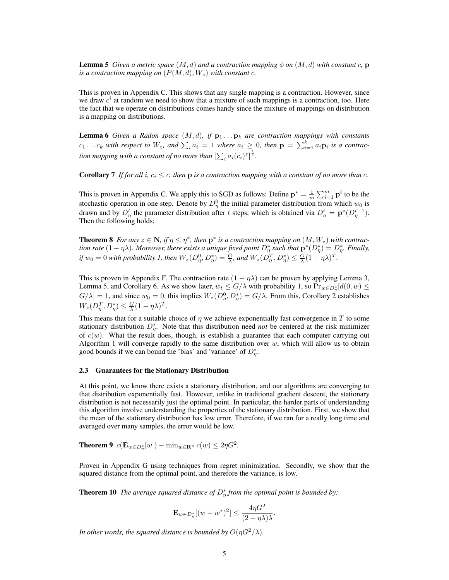**Lemma 5** *Given a metric space*  $(M, d)$  *and a contraction mapping*  $\phi$  *on*  $(M, d)$  *with constant* c, **p** *is a contraction mapping on*  $(P(M, d), W_z)$  *with constant c.* 

This is proven in Appendix C. This shows that any single mapping is a contraction. However, since we draw  $c<sup>i</sup>$  at random we need to show that a mixture of such mappings is a contraction, too. Here the fact that we operate on distributions comes handy since the mixture of mappings on distribution is a mapping on distributions.

**Lemma 6** *Given a Radon space*  $(M, d)$ *, if*  $\mathbf{p}_1 \dots \mathbf{p}_k$  *are contraction mappings with constants*  $c_1 \ldots c_k$  with respect to  $W_z$ , and  $\sum_i a_i = 1$  where  $a_i \geq 0$ , then  $\mathbf{p} = \sum_{i=1}^k a_i \mathbf{p}_i$  is a contraction mapping with a constant of no more than  $[\sum_i a_i (c_i)^z]^{\frac{1}{z}}$ .

**Corollary 7** If for all i,  $c_i \leq c$ , then **p** is a contraction mapping with a constant of no more than c.

This is proven in Appendix C. We apply this to SGD as follows: Define  $\mathbf{p}^* = \frac{1}{m} \sum_{i=1}^m \mathbf{p}^i$  to be the stochastic operation in one step. Denote by  $D_{\eta}^{0}$  the initial parameter distribution from which  $w_0$  is drawn and by  $D_{\eta}^{t}$  the parameter distribution after t steps, which is obtained via  $D_{\eta}^{t} = \mathbf{p}^{*}(D_{\eta}^{t-1})$ . Then the following holds:

**Theorem 8** *For any*  $z \in \mathbb{N}$ *, if*  $\eta \leq \eta^*$ *, then*  $p^*$  *is a contraction mapping on*  $(M, W_z)$  *with contraction rate*  $(1 - \eta \lambda)$ *. Moreover, there exists a unique fixed point*  $D_{\eta}^*$  *such that*  $p^*(D_{\eta}^*) = D_{\eta}^*$ *. Finally, if*  $w_0 = 0$  with probability 1, then  $W_z(D_\eta^0, D_\eta^*) = \frac{G}{\lambda}$ , and  $W_z(D_\eta^T, D_\eta^*) \leq \frac{G}{\lambda}(1 - \eta\lambda)^T$ .

This is proven in Appendix F. The contraction rate  $(1 - \eta \lambda)$  can be proven by applying Lemma 3, Lemma 5, and Corollary 6. As we show later,  $w_t \leq G/\lambda$  with probability 1, so  $Pr_{w \in D_{\eta}^*}[d(0, w) \leq$  $G[\lambda] = 1$ , and since  $w_0 = 0$ , this implies  $W_z(D_\eta^0, D_\eta^*) = G[\lambda]$ . From this, Corollary 2 establishes  $W_z(D_\eta^T, D_\eta^*) \leq \frac{G}{\lambda}(1 - \eta \lambda)^T.$ 

This means that for a suitable choice of  $\eta$  we achieve exponentially fast convergence in T to some stationary distribution  $D_{\eta}^*$ . Note that this distribution need *not* be centered at the risk minimizer of  $c(w)$ . What the result does, though, is establish a guarantee that each computer carrying out Algorithm 1 will converge rapidly to the same distribution over  $w$ , which will allow us to obtain good bounds if we can bound the 'bias' and 'variance' of  $D_{\eta}^*$ .

#### 2.3 Guarantees for the Stationary Distribution

At this point, we know there exists a stationary distribution, and our algorithms are converging to that distribution exponentially fast. However, unlike in traditional gradient descent, the stationary distribution is not necessarily just the optimal point. In particular, the harder parts of understanding this algorithm involve understanding the properties of the stationary distribution. First, we show that the mean of the stationary distribution has low error. Therefore, if we ran for a really long time and averaged over many samples, the error would be low.

**Theorem 9**  $c(\mathbf{E}_{w \in D_{\eta}^*}[w]) - \min_{w \in \mathbf{R}^n} c(w) \leq 2\eta G^2$ .

Proven in Appendix G using techniques from regret minimization. Secondly, we show that the squared distance from the optimal point, and therefore the variance, is low.

**Theorem 10** The average squared distance of  $D_{\eta}^*$  from the optimal point is bounded by:

$$
\mathbf{E}_{w \in D_{\eta}^*}[(w - w^*)^2] \le \frac{4\eta G^2}{(2 - \eta \lambda)\lambda}.
$$

*In other words, the squared distance is bounded by*  $O(\eta G^2/\lambda)$ *.*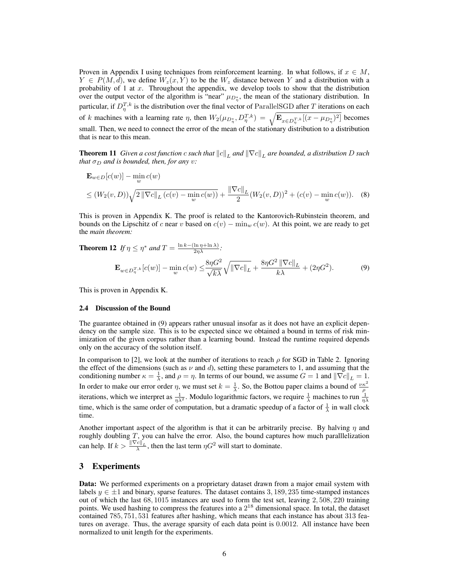Proven in Appendix I using techniques from reinforcement learning. In what follows, if  $x \in M$ ,  $Y \in P(M, d)$ , we define  $W_z(x, Y)$  to be the  $W_z$  distance between Y and a distribution with a probability of 1 at  $x$ . Throughout the appendix, we develop tools to show that the distribution over the output vector of the algorithm is "near"  $\mu_{D_{\eta}^*}$ , the mean of the stationary distribution. In particular, if  $D_{\eta}^{T,k}$  is the distribution over the final vector of ParallelSGD after T iterations on each of k machines with a learning rate  $\eta$ , then  $W_2(\mu_{D_n^*}, D_n^{T,k}) = \sqrt{\mathbf{E}_{x \in D_n^{T,k}}[(x - \mu_{D_n^*})^2]}$  becomes small. Then, we need to connect the error of the mean of the stationary distribution to a distribution that is near to this mean.

**Theorem 11** *Given a cost function c such that*  $||c||_L$  *and*  $||\nabla c||_L$  *are bounded, a distribution D such that*  $\sigma_D$  *and is bounded, then, for any v:* 

$$
\mathbf{E}_{w \in D}[c(w)] - \min_{w} c(w)
$$
  
\n
$$
\leq (W_2(v, D)) \sqrt{2 ||\nabla c||_L (c(v) - \min_{w} c(w))} + \frac{||\nabla c||_L}{2} (W_2(v, D))^2 + (c(v) - \min_{w} c(w)).
$$
 (8)

This is proven in Appendix K. The proof is related to the Kantorovich-Rubinstein theorem, and bounds on the Lipschitz of c near v based on  $c(v) - \min_w c(w)$ . At this point, we are ready to get the *main theorem:*

**Theorem 12** If  $\eta \leq \eta^*$  and  $T = \frac{\ln k - (\ln \eta + \ln \lambda)}{2\eta\lambda}$ :

$$
\mathbf{E}_{w \in D_{\eta}^{T,k}}[c(w)] - \min_{w} c(w) \le \frac{8\eta G^2}{\sqrt{k\lambda}} \sqrt{\|\nabla c\|_{L}} + \frac{8\eta G^2 \|\nabla c\|_{L}}{k\lambda} + (2\eta G^2). \tag{9}
$$

This is proven in Appendix K.

#### 2.4 Discussion of the Bound

The guarantee obtained in (9) appears rather unusual insofar as it does not have an explicit dependency on the sample size. This is to be expected since we obtained a bound in terms of risk minimization of the given corpus rather than a learning bound. Instead the runtime required depends only on the accuracy of the solution itself.

In comparison to [2], we look at the number of iterations to reach  $\rho$  for SGD in Table 2. Ignoring the effect of the dimensions (such as  $\nu$  and d), setting these parameters to 1, and assuming that the conditioning number  $\kappa = \frac{1}{\lambda}$ , and  $\rho = \eta$ . In terms of our bound, we assume  $G = 1$  and  $\|\nabla c\|_L = 1$ . In order to make our error order  $\eta$ , we must set  $k = \frac{1}{\lambda}$ . So, the Bottou paper claims a bound of  $\frac{\nu \kappa^2}{\rho}$  iterations, which we interpret as  $\frac{1}{\eta \lambda^2}$ . Modulo logarithmic factors, we require  $\frac{1}{\lambda}$  m time, which is the same order of computation, but a dramatic speedup of a factor of  $\frac{1}{\lambda}$  in wall clock time.

Another important aspect of the algorithm is that it can be arbitrarily precise. By halving  $\eta$  and roughly doubling T, you can halve the error. Also, the bound captures how much paralllelization can help. If  $k > \frac{\|\nabla c\|_L}{\lambda}$ , then the last term  $\eta G^2$  will start to dominate.

## 3 Experiments

Data: We performed experiments on a proprietary dataset drawn from a major email system with labels  $y \in \pm 1$  and binary, sparse features. The dataset contains 3, 189, 235 time-stamped instances out of which the last 68, 1015 instances are used to form the test set, leaving 2, 508, 220 training points. We used hashing to compress the features into a  $2^{18}$  dimensional space. In total, the dataset contained 785, 751, 531 features after hashing, which means that each instance has about 313 features on average. Thus, the average sparsity of each data point is 0.0012. All instance have been normalized to unit length for the experiments.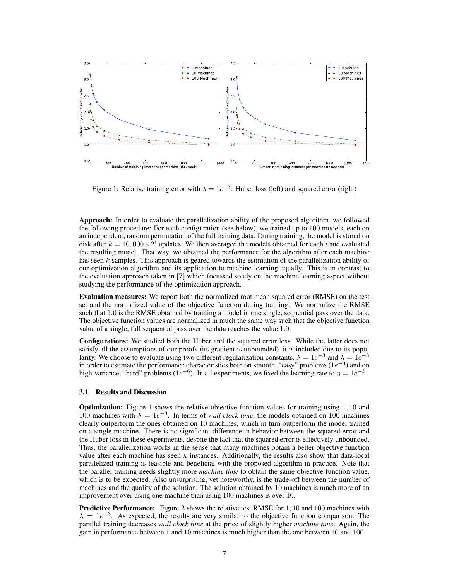

Figure 1: Relative training error with  $\lambda = 1e^{-3}$ : Huber loss (left) and squared error (right)

Approach: In order to evaluate the parallelization ability of the proposed algorithm, we followed the following procedure: For each configuration (see below), we trained up to 100 models, each on an independent, random permutation of the full training data. During training, the model is stored on disk after  $k = 10,000 * 2<sup>i</sup>$  updates. We then averaged the models obtained for each i and evaluated the resulting model. That way, we obtained the performance for the algorithm after each machine has seen k samples. This approach is geared towards the estimation of the parallelization ability of our optimization algorithm and its application to machine learning equally. This is in contrast to the evaluation approach taken in [7] which focussed solely on the machine learning aspect without studying the performance of the optimization approach.

Evaluation measures: We report both the normalized root mean squared error (RMSE) on the test set and the normalized value of the objective function during training. We normalize the RMSE such that 1.0 is the RMSE obtained by training a model in one single, sequential pass over the data. The objective function values are normalized in much the same way such that the objective function value of a single, full sequential pass over the data reaches the value 1.0.

Configurations: We studied both the Huber and the squared error loss. While the latter does not satisfy all the assumptions of our proofs (its gradient is unbounded), it is included due to its popularity. We choose to evaluate using two different regularization constants,  $\lambda = 1e^{-3}$  and  $\lambda = 1e^{-6}$ in order to estimate the performance characteristics both on smooth, "easy" problems ( $1e^{-3}$ ) and on high-variance, "hard" problems (1e<sup>-6</sup>). In all experiments, we fixed the learning rate to  $\eta = 1e^{-3}$ .

### 3.1 Results and Discussion

Optimization: Figure 1 shows the relative objective function values for training using 1, 10 and 100 machines with  $\lambda = 1e^{-3}$ . In terms of *wall clock time*, the models obtained on 100 machines clearly outperform the ones obtained on 10 machines, which in turn outperform the model trained on a single machine. There is no significant difference in behavior between the squared error and the Huber loss in these experiments, despite the fact that the squared error is effectively unbounded. Thus, the parallelization works in the sense that many machines obtain a better objective function value after each machine has seen  $k$  instances. Additionally, the results also show that data-local parallelized training is feasible and beneficial with the proposed algorithm in practice. Note that the parallel training needs slightly more *machine time* to obtain the same objective function value, which is to be expected. Also unsurprising, yet noteworthy, is the trade-off between the number of machines and the quality of the solution: The solution obtained by 10 machines is much more of an improvement over using one machine than using 100 machines is over 10.

Predictive Performance: Figure 2 shows the relative test RMSE for 1, 10 and 100 machines with  $\lambda = 1e^{-3}$ . As expected, the results are very similar to the objective function comparison: The parallel training decreases *wall clock time* at the price of slightly higher *machine time*. Again, the gain in performance between 1 and 10 machines is much higher than the one between 10 and 100.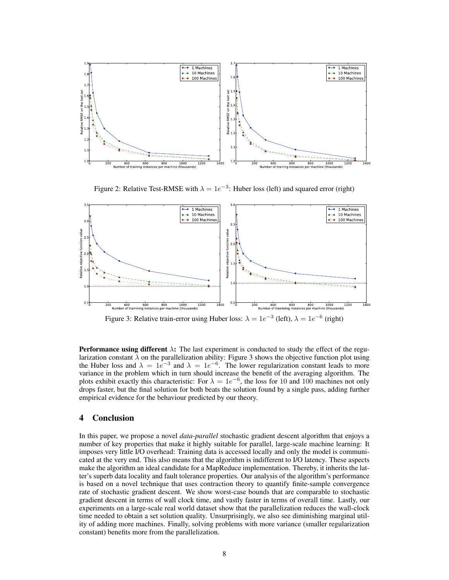

Figure 2: Relative Test-RMSE with  $\lambda = 1e^{-3}$ : Huber loss (left) and squared error (right)



Figure 3: Relative train-error using Huber loss:  $\lambda = 1e^{-3}$  (left),  $\lambda = 1e^{-6}$  (right)

**Performance using different**  $\lambda$ : The last experiment is conducted to study the effect of the regularization constant  $\lambda$  on the parallelization ability: Figure 3 shows the objective function plot using the Huber loss and  $\lambda = 1e^{-3}$  and  $\lambda = 1e^{-6}$ . The lower regularization constant leads to more variance in the problem which in turn should increase the benefit of the averaging algorithm. The plots exhibit exactly this characteristic: For  $\lambda = 1e^{-6}$ , the loss for 10 and 100 machines not only drops faster, but the final solution for both beats the solution found by a single pass, adding further empirical evidence for the behaviour predicted by our theory.

## 4 Conclusion

In this paper, we propose a novel *data-parallel* stochastic gradient descent algorithm that enjoys a number of key properties that make it highly suitable for parallel, large-scale machine learning: It imposes very little I/O overhead: Training data is accessed locally and only the model is communicated at the very end. This also means that the algorithm is indifferent to I/O latency. These aspects make the algorithm an ideal candidate for a MapReduce implementation. Thereby, it inherits the latter's superb data locality and fault tolerance properties. Our analysis of the algorithm's performance is based on a novel technique that uses contraction theory to quantify finite-sample convergence rate of stochastic gradient descent. We show worst-case bounds that are comparable to stochastic gradient descent in terms of wall clock time, and vastly faster in terms of overall time. Lastly, our experiments on a large-scale real world dataset show that the parallelization reduces the wall-clock time needed to obtain a set solution quality. Unsurprisingly, we also see diminishing marginal utility of adding more machines. Finally, solving problems with more variance (smaller regularization constant) benefits more from the parallelization.